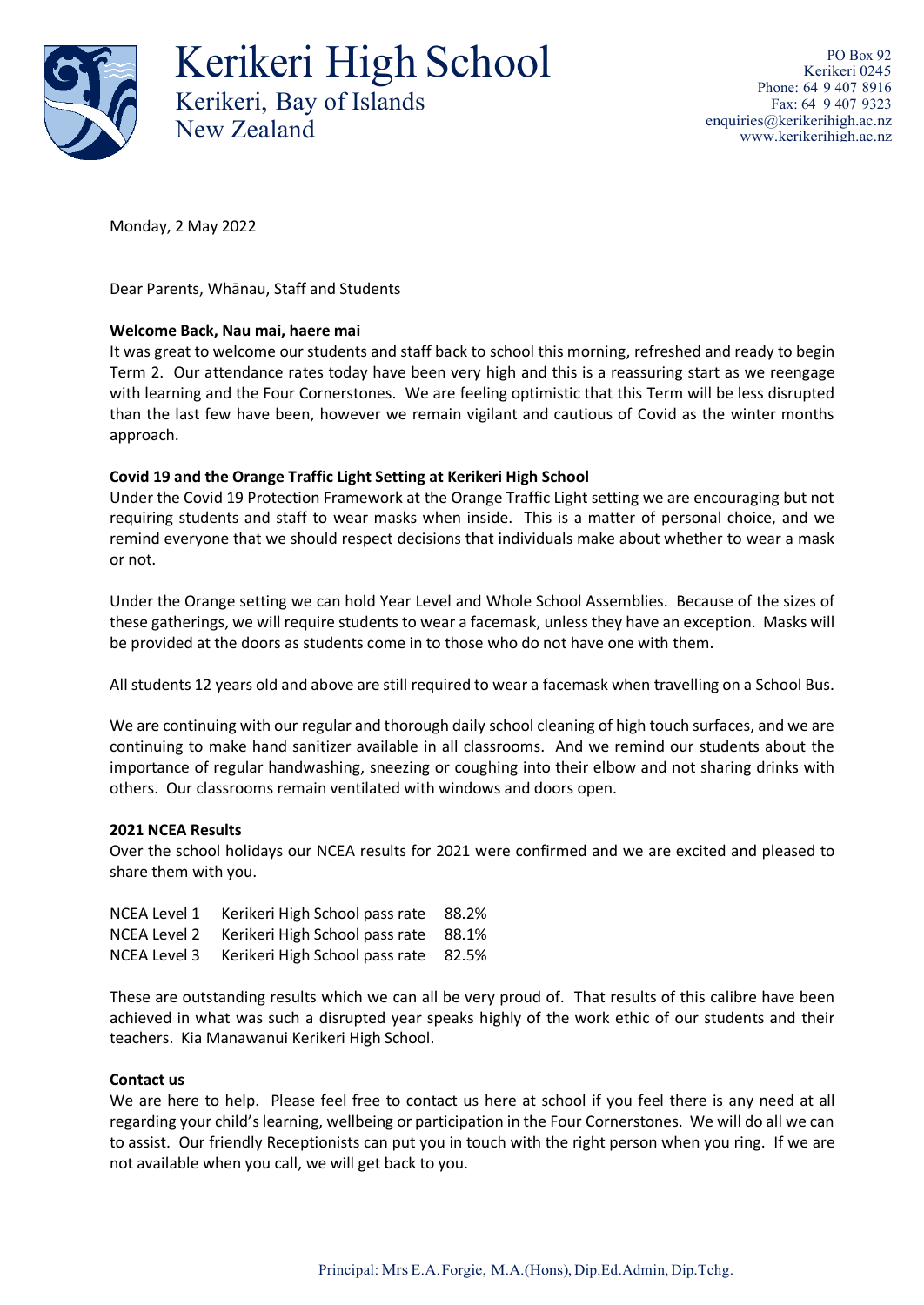

Kerikeri High School Kerikeri, Bay of Islands New Zealand

PO Box 92 Kerikeri 0245 Phone: 64 9 407 8916 Fax: 64 9 407 9323 [enquiries@kerikerihigh.ac.nz](mailto:enquiries@kerikerihigh.ac.nz) [www.kerikerihigh.ac.nz](http://www.kerikerihigh.ac.nz/)

Monday, 2 May 2022

Dear Parents, Whānau, Staff and Students

## **Welcome Back, Nau mai, haere mai**

It was great to welcome our students and staff back to school this morning, refreshed and ready to begin Term 2. Our attendance rates today have been very high and this is a reassuring start as we reengage with learning and the Four Cornerstones. We are feeling optimistic that this Term will be less disrupted than the last few have been, however we remain vigilant and cautious of Covid as the winter months approach.

## **Covid 19 and the Orange Traffic Light Setting at Kerikeri High School**

Under the Covid 19 Protection Framework at the Orange Traffic Light setting we are encouraging but not requiring students and staff to wear masks when inside. This is a matter of personal choice, and we remind everyone that we should respect decisions that individuals make about whether to wear a mask or not.

Under the Orange setting we can hold Year Level and Whole School Assemblies. Because of the sizes of these gatherings, we will require students to wear a facemask, unless they have an exception. Masks will be provided at the doors as students come in to those who do not have one with them.

All students 12 years old and above are still required to wear a facemask when travelling on a School Bus.

We are continuing with our regular and thorough daily school cleaning of high touch surfaces, and we are continuing to make hand sanitizer available in all classrooms. And we remind our students about the importance of regular handwashing, sneezing or coughing into their elbow and not sharing drinks with others. Our classrooms remain ventilated with windows and doors open.

## **2021 NCEA Results**

Over the school holidays our NCEA results for 2021 were confirmed and we are excited and pleased to share them with you.

| NCEA Level 1 | Kerikeri High School pass rate | 88.2% |
|--------------|--------------------------------|-------|
| NCEA Level 2 | Kerikeri High School pass rate | 88.1% |
| NCEA Level 3 | Kerikeri High School pass rate | 82.5% |

These are outstanding results which we can all be very proud of. That results of this calibre have been achieved in what was such a disrupted year speaks highly of the work ethic of our students and their teachers. Kia Manawanui Kerikeri High School.

## **Contact us**

We are here to help. Please feel free to contact us here at school if you feel there is any need at all regarding your child's learning, wellbeing or participation in the Four Cornerstones. We will do all we can to assist. Our friendly Receptionists can put you in touch with the right person when you ring. If we are not available when you call, we will get back to you.